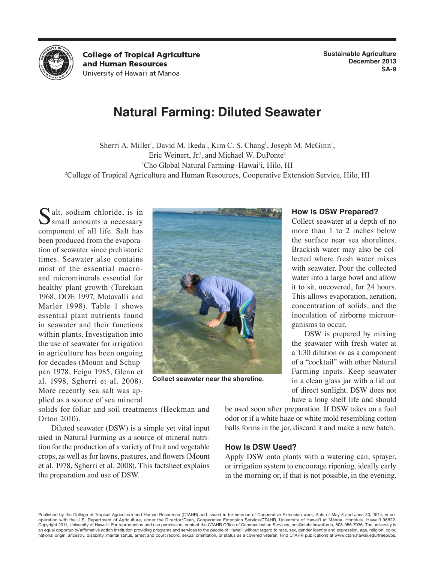

**College of Tropical Agriculture** and Human Resources University of Hawai'i at Mānoa

**Sustainable Agriculture December 2013 SA-9**

# **Natural Farming: Diluted Seawater**

Sherri A. Miller<sup>1</sup>, David M. Ikeda<sup>1</sup>, Kim C. S. Chang<sup>1</sup>, Joseph M. McGinn<sup>1</sup>, Eric Weinert, Jr.<sup>1</sup>, and Michael W. DuPonte<sup>2</sup> 1 Cho Global Natural Farming–Hawai'i, Hilo, HI 2 College of Tropical Agriculture and Human Resources, Cooperative Extension Service, Hilo, HI

Salt, sodium chloride, is in<br>
Small amounts a necessary component of all life. Salt has been produced from the evaporation of seawater since prehistoric times. Seawater also contains most of the essential macroand microminerals essential for healthy plant growth (Turekian 1968, DOE 1997, Motavalli and Marler 1998). Table 1 shows essential plant nutrients found in seawater and their functions within plants. Investigation into the use of seawater for irrigation in agriculture has been ongoing for decades (Mount and Schuppan 1978, Feign 1985, Glenn et al. 1998, Sgherri et al. 2008). More recently sea salt was applied as a source of sea mineral



**Collect seawater near the shoreline.**

solids for foliar and soil treatments (Heckman and Orton 2010).

Diluted seawater (DSW) is a simple yet vital input used in Natural Farming as a source of mineral nutrition for the production of a variety of fruit and vegetable crops, as well as for lawns, pastures, and flowers (Mount et al. 1978, Sgherri et al. 2008). This factsheet explains the preparation and use of DSW.

### **How Is DSW Prepared?**

Collect seawater at a depth of no more than 1 to 2 inches below the surface near sea shorelines. Brackish water may also be collected where fresh water mixes with seawater. Pour the collected water into a large bowl and allow it to sit, uncovered, for 24 hours. This allows evaporation, aeration, concentration of solids, and the inoculation of airborne microorganisms to occur.

DSW is prepared by mixing the seawater with fresh water at a 1:30 dilution or as a component of a "cocktail" with other Natural Farming inputs. Keep seawater in a clean glass jar with a lid out of direct sunlight. DSW does not have a long shelf life and should

be used soon after preparation. If DSW takes on a foul odor or if a white haze or white mold resembling cotton balls forms in the jar, discard it and make a new batch.

# **How Is DSW Used?**

Apply DSW onto plants with a watering can, sprayer, or irrigation system to encourage ripening, ideally early in the morning or, if that is not possible, in the evening.

Published by the College of Tropical Agriculture and Human Resources (CTAHR) and issued in furtherance of Cooperative Extension work, Acts of May 8 and June 30, 1914, in cooperation with the U.S. Department of Agriculture, under the Director/Dean, Cooperative Extension Service/CTAHR, University of Hawai'i at Mānoa, Honolulu, Hawai'i 96822. Copyright 2011, University of Hawai'i. For reproduction and use permission, contact the CTAHR Office of Communication Services, ocs@ctahr.hawaii.edu, 808-956-7036. The university is an equal opportunity/affirmative action institution providing programs and services to the people of Hawai'i without regard to race, sex, gender identity and expression, age, religion, color, national origin, ancestry, disability, marital status, arrest and court record, sexual orientation, or status as a covered veteran. Find CTAHR publications at www.ctahr.hawaii.edu/freepubs.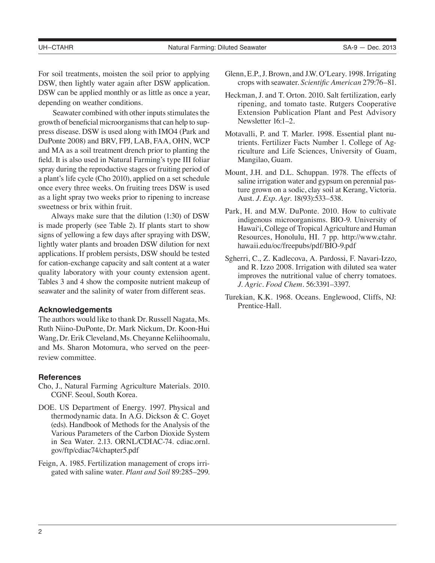For soil treatments, moisten the soil prior to applying DSW, then lightly water again after DSW application. DSW can be applied monthly or as little as once a year, depending on weather conditions.

Seawater combined with other inputs stimulates the growth of beneficial microorganisms that can help to suppress disease. DSW is used along with IMO4 (Park and DuPonte 2008) and BRV, FPJ, LAB, FAA, OHN, WCP and MA as a soil treatment drench prior to planting the field. It is also used in Natural Farming's type III foliar spray during the reproductive stages or fruiting period of a plant's life cycle (Cho 2010), applied on a set schedule once every three weeks. On fruiting trees DSW is used as a light spray two weeks prior to ripening to increase sweetness or brix within fruit.

Always make sure that the dilution (1:30) of DSW is made properly (see Table 2). If plants start to show signs of yellowing a few days after spraying with DSW, lightly water plants and broaden DSW dilution for next applications. If problem persists, DSW should be tested for cation-exchange capacity and salt content at a water quality laboratory with your county extension agent. Tables 3 and 4 show the composite nutrient makeup of seawater and the salinity of water from different seas.

## **Acknowledgements**

The authors would like to thank Dr. Russell Nagata, Ms. Ruth Niino-DuPonte, Dr. Mark Nickum, Dr. Koon-Hui Wang, Dr. Erik Cleveland, Ms. Cheyanne Keliihoomalu, and Ms. Sharon Motomura, who served on the peerreview committee.

#### **References**

- Cho, J., Natural Farming Agriculture Materials. 2010. CGNF. Seoul, South Korea.
- DOE. US Department of Energy. 1997. Physical and thermodynamic data. In A.G. Dickson & C. Goyet (eds). Handbook of Methods for the Analysis of the Various Parameters of the Carbon Dioxide System in Sea Water. 2.13. ORNL/CDIAC-74. cdiac.ornl. gov/ftp/cdiac74/chapter5.pdf
- Feign, A. 1985. Fertilization management of crops irrigated with saline water. *Plant and Soil* 89:285–299.
- Glenn, E.P., J. Brown, and J.W. O'Leary. 1998. Irrigating crops with seawater. *Scientific American* 279:76–81.
- Heckman, J. and T. Orton. 2010. Salt fertilization, early ripening, and tomato taste. Rutgers Cooperative Extension Publication Plant and Pest Advisory Newsletter 16:1–2.
- Motavalli, P. and T. Marler. 1998. Essential plant nutrients. Fertilizer Facts Number 1. College of Agriculture and Life Sciences, University of Guam, Mangilao, Guam.
- Mount, J.H. and D.L. Schuppan. 1978. The effects of saline irrigation water and gypsum on perennial pasture grown on a sodic, clay soil at Kerang, Victoria. Aust. *J. Exp. Agr.* 18(93):533–538.
- Park, H. and M.W. DuPonte. 2010. How to cultivate indigenous microorganisms. BIO-9. University of Hawai'i, College of Tropical Agriculture and Human Resources, Honolulu, HI. 7 pp. http://www.ctahr. hawaii.edu/oc/freepubs/pdf/BIO-9.pdf
- Sgherri, C., Z. Kadlecova, A. Pardossi, F. Navari-Izzo, and R. Izzo 2008. Irrigation with diluted sea water improves the nutritional value of cherry tomatoes. *J. Agric. Food Chem.* 56:3391–3397.
- Turekian, K.K. 1968. Oceans. Englewood, Cliffs, NJ: Prentice-Hall.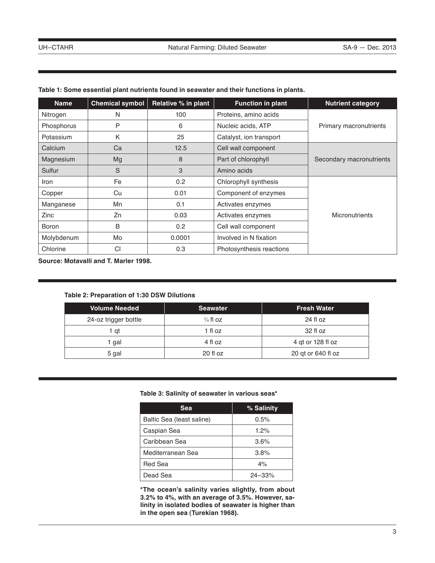| <b>Name</b> | <b>Chemical symbol</b> | Relative % in plant | <b>Function in plant</b> | <b>Nutrient category</b> |
|-------------|------------------------|---------------------|--------------------------|--------------------------|
| Nitrogen    | N                      | 100                 | Proteins, amino acids    |                          |
| Phosphorus  | P                      | 6                   | Nucleic acids, ATP       | Primary macronutrients   |
| Potassium   | K                      | 25                  | Catalyst, ion transport  |                          |
| Calcium     | Ca                     | 12.5                | Cell wall component      |                          |
| Magnesium   | Mg                     | 8                   | Part of chlorophyll      | Secondary macronutrients |
| Sulfur      | S                      | 3                   | Amino acids              |                          |
| Iron        | Fe                     | 0.2                 | Chlorophyll synthesis    |                          |
| Copper      | Cu                     | 0.01                | Component of enzymes     |                          |
| Manganese   | Mn                     | 0.1                 | Activates enzymes        |                          |
| Zinc        | Zn                     | 0.03                | Activates enzymes        | <b>Micronutrients</b>    |
| Boron       | B                      | 0.2                 | Cell wall component      |                          |
| Molybdenum  | Mo                     | 0.0001              | Involved in N fixation   |                          |
| Chlorine    | Cl                     | 0.3                 | Photosynthesis reactions |                          |

# **Table 1: Some essential plant nutrients found in seawater and their functions in plants.**

**Source: Motavalli and T. Marler 1998.**

# **Table 2: Preparation of 1:30 DSW Dilutions**

| <b>Volume Needed</b> | <b>Seawater</b>     | <b>Fresh Water</b> |
|----------------------|---------------------|--------------------|
| 24-oz trigger bottle | $\frac{3}{4}$ fl oz | 24 fl oz           |
| 1 at                 | 1 fl oz             | 32 fl oz           |
| 1 gal                | 4 fl oz             | 4 gt or 128 fl oz  |
| 5 gal                | 20 fl oz            | 20 gt or 640 fl oz |

# **Table 3: Salinity of seawater in various seas\***

| <b>Sea</b>                | % Salinity |
|---------------------------|------------|
| Baltic Sea (least saline) | 0.5%       |
| Caspian Sea               | 1.2%       |
| Caribbean Sea             | 3.6%       |
| Mediterranean Sea         | 3.8%       |
| Red Sea                   | 4%         |
| Dead Sea                  | $24 - 33%$ |

**\*The ocean's salinity varies slightly, from about 3.2% to 4%, with an average of 3.5%. However, salinity in isolated bodies of seawater is higher than in the open sea (Turekian 1968).**